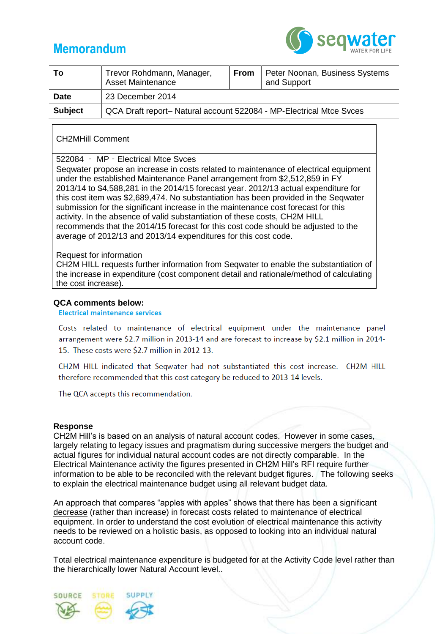# **Memorandum**



| Тο             | Trevor Rohdmann, Manager,<br><b>Asset Maintenance</b>               | <b>From</b> | Peter Noonan, Business Systems<br>and Support |
|----------------|---------------------------------------------------------------------|-------------|-----------------------------------------------|
| <b>Date</b>    | 23 December 2014                                                    |             |                                               |
| <b>Subject</b> | QCA Draft report- Natural account 522084 - MP-Electrical Mtce Svces |             |                                               |

## CH2MHill Comment

### 522084 ‐ MP‐Electrical Mtce Svces

Seqwater propose an increase in costs related to maintenance of electrical equipment under the established Maintenance Panel arrangement from \$2,512,859 in FY 2013/14 to \$4,588,281 in the 2014/15 forecast year. 2012/13 actual expenditure for this cost item was \$2,689,474. No substantiation has been provided in the Seqwater submission for the significant increase in the maintenance cost forecast for this activity. In the absence of valid substantiation of these costs, CH2M HILL recommends that the 2014/15 forecast for this cost code should be adjusted to the average of 2012/13 and 2013/14 expenditures for this cost code.

#### Request for information

CH2M HILL requests further information from Seqwater to enable the substantiation of the increase in expenditure (cost component detail and rationale/method of calculating the cost increase).

#### **QCA comments below:**

**Electrical maintenance services** 

Costs related to maintenance of electrical equipment under the maintenance panel arrangement were \$2.7 million in 2013-14 and are forecast to increase by \$2.1 million in 2014-15. These costs were \$2.7 million in 2012-13.

CH2M HILL indicated that Seqwater had not substantiated this cost increase. CH2M HILL therefore recommended that this cost category be reduced to 2013-14 levels.

The QCA accepts this recommendation.

#### **Response**

CH2M Hill's is based on an analysis of natural account codes. However in some cases, largely relating to legacy issues and pragmatism during successive mergers the budget and actual figures for individual natural account codes are not directly comparable. In the Electrical Maintenance activity the figures presented in CH2M Hill's RFI require further information to be able to be reconciled with the relevant budget figures. The following seeks to explain the electrical maintenance budget using all relevant budget data.

An approach that compares "apples with apples" shows that there has been a significant decrease (rather than increase) in forecast costs related to maintenance of electrical equipment. In order to understand the cost evolution of electrical maintenance this activity needs to be reviewed on a holistic basis, as opposed to looking into an individual natural account code.

Total electrical maintenance expenditure is budgeted for at the Activity Code level rather than the hierarchically lower Natural Account level..

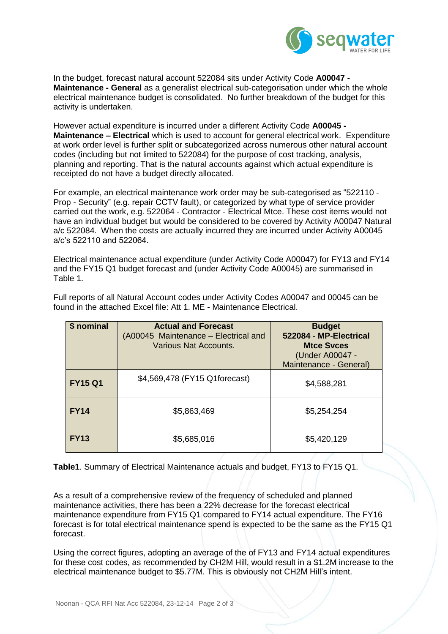

In the budget, forecast natural account 522084 sits under Activity Code **A00047 - Maintenance - General** as a generalist electrical sub-categorisation under which the whole electrical maintenance budget is consolidated. No further breakdown of the budget for this activity is undertaken.

However actual expenditure is incurred under a different Activity Code **A00045 - Maintenance – Electrical** which is used to account for general electrical work. Expenditure at work order level is further split or subcategorized across numerous other natural account codes (including but not limited to 522084) for the purpose of cost tracking, analysis, planning and reporting. That is the natural accounts against which actual expenditure is receipted do not have a budget directly allocated.

For example, an electrical maintenance work order may be sub-categorised as "522110 - Prop - Security" (e.g. repair CCTV fault), or categorized by what type of service provider carried out the work, e.g. 522064 - Contractor - Electrical Mtce. These cost items would not have an individual budget but would be considered to be covered by Activity A00047 Natural a/c 522084. When the costs are actually incurred they are incurred under Activity A00045 a/c's 522110 and 522064.

Electrical maintenance actual expenditure (under Activity Code A00047) for FY13 and FY14 and the FY15 Q1 budget forecast and (under Activity Code A00045) are summarised in Table 1.

| \$ nominal     | <b>Actual and Forecast</b><br>(A00045 Maintenance – Electrical and<br>Various Nat Accounts. | <b>Budget</b><br>522084 - MP-Electrical<br><b>Mtce Syces</b><br>(Under A00047 -<br>Maintenance - General) |
|----------------|---------------------------------------------------------------------------------------------|-----------------------------------------------------------------------------------------------------------|
| <b>FY15 Q1</b> | \$4,569,478 (FY15 Q1forecast)                                                               | \$4,588,281                                                                                               |
| <b>FY14</b>    | \$5,863,469                                                                                 | \$5,254,254                                                                                               |
| <b>FY13</b>    | \$5,685,016                                                                                 | \$5,420,129                                                                                               |

Full reports of all Natural Account codes under Activity Codes A00047 and 00045 can be found in the attached Excel file: Att 1. ME - Maintenance Electrical.

**Table1**. Summary of Electrical Maintenance actuals and budget, FY13 to FY15 Q1.

As a result of a comprehensive review of the frequency of scheduled and planned maintenance activities, there has been a 22% decrease for the forecast electrical maintenance expenditure from FY15 Q1 compared to FY14 actual expenditure. The FY16 forecast is for total electrical maintenance spend is expected to be the same as the FY15 Q1 forecast.

Using the correct figures, adopting an average of the of FY13 and FY14 actual expenditures for these cost codes, as recommended by CH2M Hill, would result in a \$1.2M increase to the electrical maintenance budget to \$5.77M. This is obviously not CH2M Hill's intent.